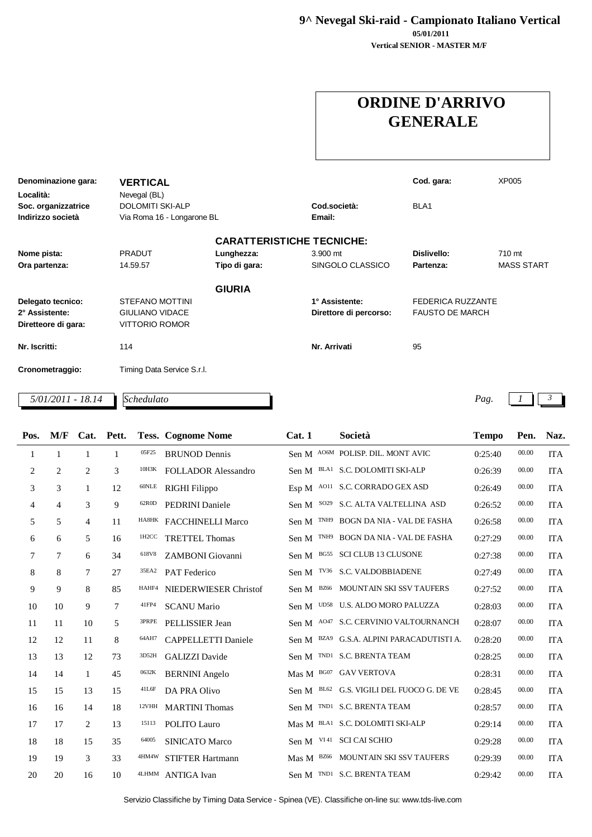**9^ Nevegal Ski-raid - Campionato Italiano Vertical**

**Vertical SENIOR - MASTER M/F 05/01/2011**

## **ORDINE D'ARRIVO GENERALE**

| Denominazione gara: | <b>VERTICAL</b>            |               |                                  | Cod. gara:               | XP005             |
|---------------------|----------------------------|---------------|----------------------------------|--------------------------|-------------------|
| Località:           | Nevegal (BL)               |               |                                  |                          |                   |
| Soc. organizzatrice | <b>DOLOMITI SKI-ALP</b>    |               | Cod.società:                     | BLA <sub>1</sub>         |                   |
| Indirizzo società   | Via Roma 16 - Longarone BL |               | Email:                           |                          |                   |
|                     |                            |               | <b>CARATTERISTICHE TECNICHE:</b> |                          |                   |
| Nome pista:         | <b>PRADUT</b>              | Lunghezza:    | 3.900 mt                         | Dislivello:              | 710 mt            |
| Ora partenza:       | 14.59.57                   | Tipo di gara: | SINGOLO CLASSICO                 | Partenza:                | <b>MASS START</b> |
|                     |                            | <b>GIURIA</b> |                                  |                          |                   |
| Delegato tecnico:   | <b>STEFANO MOTTINI</b>     |               | 1° Assistente:                   | <b>FEDERICA RUZZANTE</b> |                   |
| 2° Assistente:      | <b>GIULIANO VIDACE</b>     |               | Direttore di percorso:           | <b>FAUSTO DE MARCH</b>   |                   |
| Diretteore di gara: | <b>VITTORIO ROMOR</b>      |               |                                  |                          |                   |
| Nr. Iscritti:       | 114                        |               | Nr. Arrivati                     | 95                       |                   |
| Cronometraggio:     | Timing Data Service S.r.l. |               |                                  |                          |                   |
| 5/01/2011 - 18.14   | Schedulato                 |               |                                  |                          | Pag.              |

| Pos. | M/F            |                | Cat. Pett.   |       | <b>Tess. Cognome Nome</b>  | Cat.1 | Società                               | <b>Tempo</b> | Pen.  | Naz.       |
|------|----------------|----------------|--------------|-------|----------------------------|-------|---------------------------------------|--------------|-------|------------|
|      | 1              | $\mathbf{1}$   | $\mathbf{1}$ | 05F25 | <b>BRUNOD Dennis</b>       |       | Sen M AO6M POLISP. DIL. MONT AVIC     | 0:25:40      | 00.00 | <b>ITA</b> |
| 2    | $\overline{2}$ | $\overline{c}$ | 3            | 10H3K | <b>FOLLADOR Alessandro</b> |       | Sen M BLA1 S.C. DOLOMITI SKI-ALP      | 0:26:39      | 00.00 | <b>ITA</b> |
| 3    | 3              | $\mathbf{1}$   | 12           | 60NLE | RIGHI Filippo              |       | Esp M AO11 S.C. CORRADO GEX ASD       | 0:26:49      | 00.00 | <b>ITA</b> |
| 4    | $\overline{4}$ | 3              | 9            | 62R0D | <b>PEDRINI</b> Daniele     |       | Sen M SO29 S.C. ALTA VALTELLINA ASD   | 0:26:52      | 00.00 | <b>ITA</b> |
| 5    | 5              | $\overline{4}$ | 11           |       | HA8HK FACCHINELLI Marco    |       | Sen M TNH9 BOGN DA NIA - VAL DE FASHA | 0:26:58      | 00.00 | <b>ITA</b> |
| 6    | 6              | 5              | 16           | 1H2CC | <b>TRETTEL Thomas</b>      | Sen M | TNH9 BOGN DA NIA - VAL DE FASHA       | 0:27:29      | 00.00 | <b>ITA</b> |
| 7    | 7              | 6              | 34           | 618V8 | ZAMBONI Giovanni           | Sen M | BG55 SCI CLUB 13 CLUSONE              | 0:27:38      | 00.00 | <b>ITA</b> |
| 8    | 8              | 7              | 27           | 35EA2 | <b>PAT</b> Federico        |       | Sen M TV36 S.C. VALDOBBIADENE         | 0:27:49      | 00.00 | <b>ITA</b> |
| 9    | 9              | 8              | 85           | HAHF4 | NIEDERWIESER Christof      | Sen M | BZ66 MOUNTAIN SKI SSV TAUFERS         | 0:27:52      | 00.00 | <b>ITA</b> |
| 10   | 10             | 9              | $\tau$       | 41FP4 | <b>SCANU Mario</b>         |       | Sen M UD58 U.S. ALDO MORO PALUZZA     | 0:28:03      | 00.00 | <b>ITA</b> |
| 11   | 11             | 10             | 5            | 3PRPE | PELLISSIER Jean            |       | Sen M A047 S.C. CERVINIO VALTOURNANCH | 0:28:07      | 00.00 | <b>ITA</b> |
| 12   | 12             | 11             | 8            | 64AH7 | <b>CAPPELLETTI Daniele</b> | Sen M | BZA9 G.S.A. ALPINI PARACADUTISTI A.   | 0:28:20      | 00.00 | <b>ITA</b> |
| 13   | 13             | 12             | 73           | 3D52H | <b>GALIZZI</b> Davide      |       | Sen M TND1 S.C. BRENTA TEAM           | 0:28:25      | 00.00 | <b>ITA</b> |
| 14   | 14             | $\mathbf{1}$   | 45           | 0632K | <b>BERNINI</b> Angelo      |       | Mas M BG07 GAV VERTOVA                | 0:28:31      | 00.00 | <b>ITA</b> |
| 15   | 15             | 13             | 15           | 41L6F | DA PRA Olivo               | Sen M | BL62 G.S. VIGILI DEL FUOCO G. DE VE   | 0:28:45      | 00.00 | <b>ITA</b> |
| 16   | 16             | 14             | 18           | 12VHH | <b>MARTINI</b> Thomas      |       | Sen M TND1 S.C. BRENTA TEAM           | 0:28:57      | 00.00 | <b>ITA</b> |
| 17   | 17             | $\overline{2}$ | 13           | 15113 | POLITO Lauro               |       | Mas M BLA1 S.C. DOLOMITI SKI-ALP      | 0:29:14      | 00.00 | <b>ITA</b> |
| 18   | 18             | 15             | 35           | 64005 | <b>SINICATO Marco</b>      | Sen M | VI 41 SCI CAI SCHIO                   | 0:29:28      | 00.00 | <b>ITA</b> |
| 19   | 19             | 3              | 33           | 4HM4W | STIFTER Hartmann           |       | Mas M BZ66 MOUNTAIN SKI SSV TAUFERS   | 0:29:39      | 00.00 | <b>ITA</b> |
| 20   | 20             | 16             | 10           |       | 4LHMM ANTIGA Ivan          |       | Sen M TND1 S.C. BRENTA TEAM           | 0:29:42      | 00.00 | <b>ITA</b> |

Servizio Classifiche by Timing Data Service - Spinea (VE). Classifiche on-line su: www.tds-live.com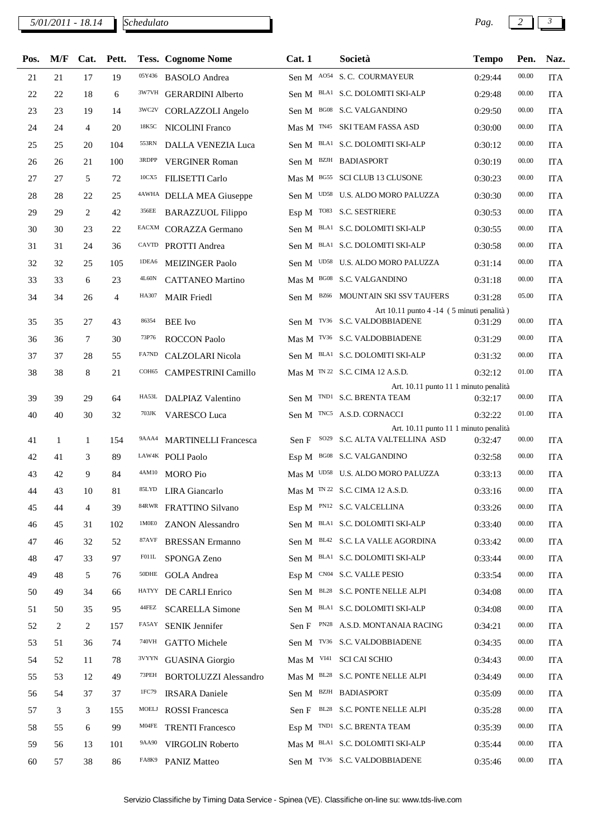*5/01/2011 - 18.14 Pag. 2 3*

| Pos.     | M/F     | Cat.              | Pett.          |        | <b>Tess. Cognome Nome</b>                         | Cat.1 | Società                                                                      | <b>Tempo</b>       | Pen.      | Naz.                     |
|----------|---------|-------------------|----------------|--------|---------------------------------------------------|-------|------------------------------------------------------------------------------|--------------------|-----------|--------------------------|
| 21       | 21      | 17                | 19             | 05Y436 | <b>BASOLO</b> Andrea                              |       | Sen M A054 S.C. COURMAYEUR                                                   | 0:29:44            | 00.00     | <b>ITA</b>               |
| 22       | 22      | 18                | 6              |        | <sup>3W7VH</sup> GERARDINI Alberto                |       | Sen M BLA1 S.C. DOLOMITI SKI-ALP                                             | 0:29:48            | 00.00     | <b>ITA</b>               |
| 23       | 23      | 19                | 14             | 3WC2V  | <b>CORLAZZOLI</b> Angelo                          |       | Sen M BG08 S.C. VALGANDINO                                                   | 0:29:50            | 00.00     | <b>ITA</b>               |
| 24       | 24      | $\overline{4}$    | 20             | 18K5C  | <b>NICOLINI Franco</b>                            |       | Mas M TN45 SKI TEAM FASSA ASD                                                | 0:30:00            | 00.00     | <b>ITA</b>               |
| 25       | 25      | 20                | 104            | 553RN  | DALLA VENEZIA Luca                                |       | Sen M BLA1 S.C. DOLOMITI SKI-ALP                                             | 0:30:12            | 00.00     | <b>ITA</b>               |
| 26       | 26      | 21                | 100            | 3RDPP  | <b>VERGINER Roman</b>                             |       | Sen M BZJH BADIASPORT                                                        | 0:30:19            | 00.00     | <b>ITA</b>               |
| 27       | 27      | 5                 | 72             |        | <sup>10CX5</sup> FILISETTI Carlo                  |       | Mas M BG55 SCI CLUB 13 CLUSONE                                               | 0:30:23            | 00.00     | <b>ITA</b>               |
| 28       | 28      | 22                | 25             |        | 4AWHA DELLA MEA Giuseppe                          |       | Sen M UD58 U.S. ALDO MORO PALUZZA                                            | 0:30:30            | 00.00     | <b>ITA</b>               |
| 29       | 29      | 2                 | 42             | 356EE  | <b>BARAZZUOL Filippo</b>                          |       | Esp M TO83 S.C. SESTRIERE                                                    | 0:30:53            | 00.00     | <b>ITA</b>               |
| 30       | 30      | 23                | 22             |        | EACXM CORAZZA Germano                             |       | Sen M BLA1 S.C. DOLOMITI SKI-ALP                                             | 0:30:55            | 00.00     | <b>ITA</b>               |
| 31       | 31      | 24                | 36             |        | CAVTD PROTTI Andrea                               |       | Sen M BLA1 S.C. DOLOMITI SKI-ALP                                             | 0:30:58            | 00.00     | <b>ITA</b>               |
| 32       | 32      | 25                | 105            | 1DEA6  | <b>MEIZINGER Paolo</b>                            |       | Sen M UD58 U.S. ALDO MORO PALUZZA                                            | 0:31:14            | 00.00     | <b>ITA</b>               |
| 33       | 33      | 6                 | 23             | 4L60N  | <b>CATTANEO Martino</b>                           |       | Mas M BG08 S.C. VALGANDINO                                                   | 0:31:18            | 00.00     | <b>ITA</b>               |
| 34       | 34      | 26                | $\overline{4}$ | HA307  | <b>MAIR</b> Friedl                                |       | Sen M BZ66 MOUNTAIN SKI SSV TAUFERS                                          | 0:31:28            | 05.00     | <b>ITA</b>               |
|          |         |                   |                | 86354  |                                                   |       | Art 10.11 punto 4 -14 (5 minuti penalità)<br>Sen M TV36 S.C. VALDOBBIADENE   |                    | $00.00\,$ |                          |
| 35       | 35      | 27                | 43             | 73P76  | <b>BEE</b> Ivo                                    |       | Mas M TV36 S.C. VALDOBBIADENE                                                | 0:31:29            | 00.00     | <b>ITA</b>               |
| 36       | 36      | 7                 | 30             | FA7ND  | <b>ROCCON Paolo</b>                               |       | Sen M BLA1 S.C. DOLOMITI SKI-ALP                                             | 0:31:29            | 00.00     | <b>ITA</b>               |
| 37       | 37      | 28                | 55             | COH65  | <b>CALZOLARI</b> Nicola                           |       | Mas M <sup>TN 22</sup> S.C. CIMA 12 A.S.D.                                   | 0:31:32            | 01.00     | <b>ITA</b>               |
| 38       | 38      | 8                 | 21             |        | CAMPESTRINI Camillo                               |       | Art. 10.11 punto 11 1 minuto penalità                                        | 0:32:12            |           | <b>ITA</b>               |
| 39       | 39      | 29                | 64             | HA53L  | <b>DALPIAZ Valentino</b>                          |       | Sen M TND1 S.C. BRENTA TEAM                                                  | 0:32:17            | 00.00     | <b>ITA</b>               |
| 40       | 40      | 30                | 32             |        | 703JK VARESCO Luca                                |       | Sen M TNC5 A.S.D. CORNACCI                                                   | 0:32:22            | 01.00     | <b>ITA</b>               |
|          |         |                   |                |        | 9AAA4 MARTINELLI Francesca                        |       | Art. 10.11 punto 11 1 minuto penalità<br>Sen F SO29 S.C. ALTA VALTELLINA ASD |                    | 00.00     |                          |
| 41<br>42 | 1<br>41 | $\mathbf{1}$<br>3 | 154<br>89      |        | LAW4K POLI Paolo                                  |       | Esp M BG08 S.C. VALGANDINO                                                   | 0:32:47            | 00.00     | <b>ITA</b>               |
|          | 42      | 9                 | 84             | 4AM10  | <b>MORO</b> Pio                                   |       | Mas M UD58 U.S. ALDO MORO PALUZZA                                            | 0:32:58<br>0:33:13 | 00.00     | <b>ITA</b>               |
| 43<br>44 | 43      | 10                | 81             |        | 85LYD LIRA Giancarlo                              |       | Mas M <sup>TN 22</sup> S.C. CIMA 12 A.S.D.                                   | 0:33:16            | 00.00     | <b>ITA</b><br><b>ITA</b> |
| 45       | 44      | 4                 | 39             |        | 84RWR FRATTINO Silvano                            |       | Esp M PN12 S.C. VALCELLINA                                                   | 0:33:26            | 00.00     | <b>ITA</b>               |
| 46       | 45      | 31                | 102            | 1M0E0  | <b>ZANON</b> Alessandro                           |       | Sen M BLA1 S.C. DOLOMITI SKI-ALP                                             | 0:33:40            | 00.00     | <b>ITA</b>               |
| 47       | 46      | 32                | 52             | 87AVF  | <b>BRESSAN Ermanno</b>                            |       | Sen M BL42 S.C. LA VALLE AGORDINA                                            | 0:33:42            | 00.00     | <b>ITA</b>               |
| 48       | 47      | 33                | 97             | F011L  | SPONGA Zeno                                       |       | Sen M BLA1 S.C. DOLOMITI SKI-ALP                                             | 0:33:44            | 00.00     | <b>ITA</b>               |
| 49       | 48      | 5                 | 76             | 50DHE  | <b>GOLA</b> Andrea                                |       | Esp M CN04 S.C. VALLE PESIO                                                  | 0:33:54            | 00.00     | <b>ITA</b>               |
| 50       | 49      | 34                | 66             |        | HATYY DE CARLI Enrico                             |       | Sen M BL28 S.C. PONTE NELLE ALPI                                             | 0:34:08            | 00.00     | <b>ITA</b>               |
| 51       | 50      | 35                | 95             | 44FEZ  | <b>SCARELLA Simone</b>                            |       | Sen M BLA1 S.C. DOLOMITI SKI-ALP                                             | 0:34:08            | 00.00     | <b>ITA</b>               |
| 52       | 2       | 2                 | 157            | FA5AY  | <b>SENIK Jennifer</b>                             |       | Sen F PN28 A.S.D. MONTANAIA RACING                                           | 0:34:21            | 00.00     | <b>ITA</b>               |
| 53       | 51      | 36                | 74             | 740VH  | <b>GATTO Michele</b>                              |       | Sen M TV36 S.C. VALDOBBIADENE                                                | 0:34:35            | 00.00     | <b>ITA</b>               |
| 54       | 52      | 11                | 78             |        | <sup>3VYYN</sup> GUASINA Giorgio                  |       | Mas M VI41 SCI CAI SCHIO                                                     | 0:34:43            | 00.00     | ITA                      |
| 55       | 53      | 12                | 49             | 73PEH  | <b>BORTOLUZZI Alessandro</b>                      |       | Mas M BL28 S.C. PONTE NELLE ALPI                                             | 0:34:49            | 00.00     | <b>ITA</b>               |
| 56       | 54      | 37                | 37             | 1FC79  | <b>IRSARA</b> Daniele                             |       | Sen M BZJH BADIASPORT                                                        | 0:35:09            | 00.00     | <b>ITA</b>               |
|          |         | 3                 |                | MOELJ  |                                                   |       | Sen F BL28 S.C. PONTE NELLE ALPI                                             | 0:35:28            | 00.00     | <b>ITA</b>               |
| 57<br>58 | 3<br>55 | 6                 | 155<br>99      | M04FE  | <b>ROSSI</b> Francesca<br><b>TRENTI Francesco</b> |       | Esp M TND1 S.C. BRENTA TEAM                                                  | 0:35:39            | 00.00     | <b>ITA</b>               |
|          |         |                   |                |        |                                                   |       | Mas M BLA1 S.C. DOLOMITI SKI-ALP                                             |                    | 00.00     |                          |
| 59       | 56      | 13                | 101            |        | 9AA90 VIRGOLIN Roberto                            |       |                                                                              | 0:35:44            |           | ITA                      |
| 60       | 57      | 38                | 86             | FA8K9  | <b>PANIZ Matteo</b>                               |       | Sen M TV36 S.C. VALDOBBIADENE                                                | 0:35:46            | 00.00     | <b>ITA</b>               |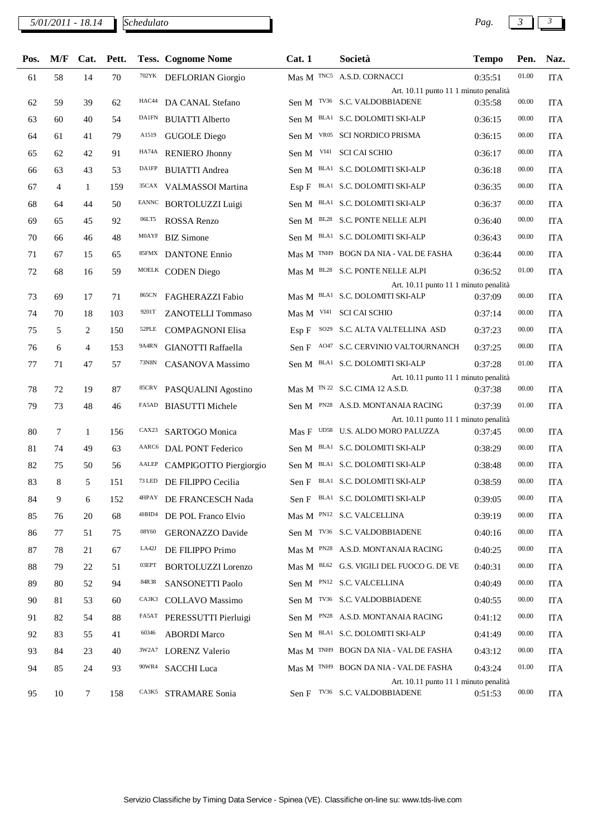## *5/01/2011 - 18.14 Pag. 3 3*

| Pos. | M/F            |                | Cat. Pett. |                   | <b>Tess. Cognome Nome</b> | Cat.1 | Società                                                                    | <b>Tempo</b> | Pen.  | Naz.       |
|------|----------------|----------------|------------|-------------------|---------------------------|-------|----------------------------------------------------------------------------|--------------|-------|------------|
| 61   | 58             | 14             | 70         | 702YK             | DEFLORIAN Giorgio         |       | Mas M TNC5 A.S.D. CORNACCI                                                 | 0:35:51      | 01.00 | <b>ITA</b> |
|      |                |                |            |                   |                           |       | Art. 10.11 punto 11 1 minuto penalità                                      |              |       |            |
| 62   | 59             | 39             | 62         | HAC44             | DA CANAL Stefano          |       | Sen M TV36 S.C. VALDOBBIADENE                                              | 0:35:58      | 00.00 | <b>ITA</b> |
| 63   | 60             | 40             | 54         | DA1FN             | <b>BUIATTI Alberto</b>    |       | Sen M BLA1 S.C. DOLOMITI SKI-ALP                                           | 0:36:15      | 00.00 | <b>ITA</b> |
| 64   | 61             | 41             | 79         | A1519             | <b>GUGOLE Diego</b>       |       | Sen M VR05 SCI NORDICO PRISMA                                              | 0:36:15      | 00.00 | <b>ITA</b> |
| 65   | 62             | 42             | 91         | HA74A             | <b>RENIERO Jhonny</b>     | Sen M | VI41 SCI CAI SCHIO                                                         | 0:36:17      | 00.00 | <b>ITA</b> |
| 66   | 63             | 43             | 53         | DA1FP             | <b>BUIATTI Andrea</b>     |       | Sen M BLA1 S.C. DOLOMITI SKI-ALP                                           | 0:36:18      | 00.00 | <b>ITA</b> |
| 67   | $\overline{4}$ | 1              | 159        |                   | 35CAX VALMASSOI Martina   |       | Esp F BLA1 S.C. DOLOMITI SKI-ALP                                           | 0:36:35      | 00.00 | <b>ITA</b> |
| 68   | 64             | 44             | 50         |                   | EANNC BORTOLUZZI Luigi    |       | Sen M BLA1 S.C. DOLOMITI SKI-ALP                                           | 0:36:37      | 00.00 | <b>ITA</b> |
| 69   | 65             | 45             | 92         | 06LT5             | ROSSA Renzo               |       | Sen M BL28 S.C. PONTE NELLE ALPI                                           | 0:36:40      | 00.00 | <b>ITA</b> |
| 70   | 66             | 46             | 48         | M0AYF             | <b>BIZ Simone</b>         |       | Sen M BLA1 S.C. DOLOMITI SKI-ALP                                           | 0:36:43      | 00.00 | <b>ITA</b> |
| 71   | 67             | 15             | 65         | 85FMX             | <b>DANTONE Ennio</b>      |       | Mas M TNH9 BOGN DA NIA - VAL DE FASHA                                      | 0:36:44      | 00.00 | <b>ITA</b> |
| 72   | 68             | 16             | 59         |                   | MOELK CODEN Diego         |       | Mas M BL28 S.C. PONTE NELLE ALPI                                           | 0:36:52      | 01.00 | <b>ITA</b> |
| 73   | 69             | 17             | 71         | 865CN             | FAGHERAZZI Fabio          |       | Art. 10.11 punto 11 1 minuto penalità<br>Mas M BLA1 S.C. DOLOMITI SKI-ALP  | 0:37:09      | 00.00 | <b>ITA</b> |
| 74   | 70             | 18             | 103        | 9201T             | <b>ZANOTELLI Tommaso</b>  |       | Mas M VI41 SCI CAI SCHIO                                                   | 0:37:14      | 00.00 | <b>ITA</b> |
| 75   | 5              | 2              | 150        | 52PLE             | <b>COMPAGNONI Elisa</b>   |       | Esp F SO29 S.C. ALTA VALTELLINA ASD                                        | 0:37:23      | 00.00 | <b>ITA</b> |
| 76   | 6              | $\overline{4}$ | 153        | 9A4RN             | <b>GIANOTTI Raffaella</b> |       | Sen F A047 S.C. CERVINIO VALTOURNANCH                                      | 0:37:25      | 00.00 | <b>ITA</b> |
| 77   | 71             | 47             | 57         | 73N8N             | CASANOVA Massimo          |       | Sen M BLA1 S.C. DOLOMITI SKI-ALP                                           | 0:37:28      | 01.00 | <b>ITA</b> |
|      |                |                |            |                   |                           |       | Art. 10.11 punto 11 1 minuto penalità                                      |              |       |            |
| 78   | 72             | 19             | 87         | 85CRV             | PASQUALINI Agostino       |       | Mas M <sup>TN 22</sup> S.C. CIMA 12 A.S.D.                                 | 0:37:38      | 00.00 | <b>ITA</b> |
| 79   | 73             | 48             | 46         | FA5AD             | <b>BIASUTTI Michele</b>   |       | Sen M PN28 A.S.D. MONTANAIA RACING                                         | 0:37:39      | 01.00 | <b>ITA</b> |
| 80   | 7              | 1              | 156        | CAX <sub>23</sub> | <b>SARTOGO Monica</b>     |       | Art. 10.11 punto 11 1 minuto penalità<br>Mas F UD58 U.S. ALDO MORO PALUZZA | 0:37:45      | 00.00 | <b>ITA</b> |
| 81   | 74             | 49             | 63         |                   | AARC6 DAL PONT Federico   |       | Sen M BLA1 S.C. DOLOMITI SKI-ALP                                           | 0:38:29      | 00.00 | <b>ITA</b> |
| 82   | 75             | 50             | 56         | AALEP             | CAMPIGOTTO Piergiorgio    |       | Sen M BLA1 S.C. DOLOMITI SKI-ALP                                           | 0:38:48      | 00.00 | <b>ITA</b> |
| 83   | 8              | 5              | 151        | 73 LED            | DE FILIPPO Cecilia        |       | Sen F BLA1 S.C. DOLOMITI SKI-ALP                                           | 0:38:59      | 00.00 | <b>ITA</b> |
| 84   | 9              | 6              | 152        | 4HPAY             | DE FRANCESCH Nada         |       | Sen F BLA1 S.C. DOLOMITI SKI-ALP                                           | 0:39:05      | 00.00 | <b>ITA</b> |
| 85   | 76             | 20             | 68         | 4HHD4             | DE POL Franco Elvio       |       | Mas M PN12 S.C. VALCELLINA                                                 | 0:39:19      | 00.00 | <b>ITA</b> |
| 86   | 77             | 51             | 75         | 08Y60             | <b>GERONAZZO Davide</b>   |       | Sen M TV36 S.C. VALDOBBIADENE                                              | 0:40:16      | 00.00 | <b>ITA</b> |
| 87   | 78             | 21             | 67         | LA42J             | DE FILIPPO Primo          |       | Mas M PN28 A.S.D. MONTANAIA RACING                                         | 0:40:25      | 00.00 | <b>ITA</b> |
| 88   | 79             | 22             | 51         | 03EPT             | <b>BORTOLUZZI Lorenzo</b> |       | Mas M BL62 G.S. VIGILI DEL FUOCO G. DE VE                                  | 0:40:31      | 00.00 | <b>ITA</b> |
| 89   | 80             | 52             | 94         | 84R38             | SANSONETTI Paolo          |       | Sen M PN12 S.C. VALCELLINA                                                 | 0:40:49      | 00.00 | <b>ITA</b> |
| 90   | 81             | 53             | 60         | CA3K3             | COLLAVO Massimo           |       | Sen M TV36 S.C. VALDOBBIADENE                                              | 0:40:55      | 00.00 | <b>ITA</b> |
| 91   | 82             | 54             | 88         | FA5AT             | PERESSUTTI Pierluigi      |       | Sen M PN28 A.S.D. MONTANAIA RACING                                         | 0:41:12      | 00.00 | <b>ITA</b> |
| 92   | 83             | 55             | 41         | 60346             | <b>ABORDI</b> Marco       |       | Sen M BLA1 S.C. DOLOMITI SKI-ALP                                           | 0:41:49      | 00.00 | <b>ITA</b> |
| 93   | 84             | 23             | 40         | 3W2A7             | <b>LORENZ Valerio</b>     |       | Mas M TNH9 BOGN DA NIA - VAL DE FASHA                                      | 0:43:12      | 00.00 | <b>ITA</b> |
|      |                | 24             | 93         | 90WR4             |                           |       | Mas M <sup>TNH9</sup> BOGN DA NIA - VAL DE FASHA                           | 0:43:24      | 01.00 |            |
| 94   | 85             |                |            |                   | <b>SACCHI Luca</b>        |       | Art. 10.11 punto 11 1 minuto penalità                                      |              |       | <b>ITA</b> |
| 95   | $10\,$         | $\tau$         | 158        |                   | CA3K5 STRAMARE Sonia      |       | Sen F TV36 S.C. VALDOBBIADENE                                              | 0:51:53      | 00.00 | ITA        |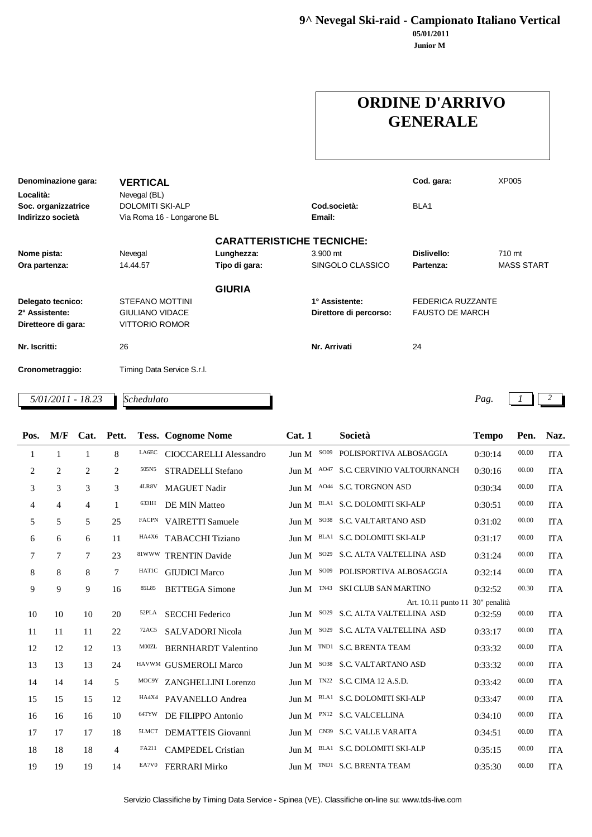**9^ Nevegal Ski-raid - Campionato Italiano Vertical**

**Junior M 05/01/2011**

## **ORDINE D'ARRIVO GENERALE**

| Denominazione gara: | <b>VERTICAL</b>            |               |                                  | Cod. gara:             | XP005             |
|---------------------|----------------------------|---------------|----------------------------------|------------------------|-------------------|
| Località:           |                            |               |                                  |                        |                   |
|                     | Nevegal (BL)               |               |                                  |                        |                   |
| Soc. organizzatrice | <b>DOLOMITI SKI-ALP</b>    |               | Cod società:                     | BLA <sub>1</sub>       |                   |
| Indirizzo società   | Via Roma 16 - Longarone BL |               | Email:                           |                        |                   |
|                     |                            |               | <b>CARATTERISTICHE TECNICHE:</b> |                        |                   |
| Nome pista:         | Nevegal                    | Lunghezza:    | 3.900 mt                         | Dislivello:            | 710 mt            |
| Ora partenza:       | 14.44.57                   | Tipo di gara: | SINGOLO CLASSICO                 | Partenza:              | <b>MASS START</b> |
|                     |                            | <b>GIURIA</b> |                                  |                        |                   |
| Delegato tecnico:   | <b>STEFANO MOTTINI</b>     |               | 1° Assistente:                   | FEDERICA RUZZANTE      |                   |
| 2° Assistente:      | <b>GIULIANO VIDACE</b>     |               | Direttore di percorso:           | <b>FAUSTO DE MARCH</b> |                   |
| Diretteore di gara: | <b>VITTORIO ROMOR</b>      |               |                                  |                        |                   |
| Nr. Iscritti:       | 26                         |               | Nr. Arrivati                     | 24                     |                   |
| Cronometraggio:     | Timing Data Service S.r.l. |               |                                  |                        |                   |
| 5/01/2011 - 18.23   | Schedulato                 |               |                                  |                        | Pag.              |

| Pos.           | M/F            | Cat.           | Pett.          |              | <b>Tess. Cognome Nome</b>     | Cat.1 |             | Società                     | <b>Tempo</b> | Pen.  | Naz.       |
|----------------|----------------|----------------|----------------|--------------|-------------------------------|-------|-------------|-----------------------------|--------------|-------|------------|
| 1              | 1              | 1              | 8              | LA6EC        | <b>CIOCCARELLI Alessandro</b> | Jun M | SO09        | POLISPORTIVA ALBOSAGGIA     | 0:30:14      | 00.00 | <b>ITA</b> |
| $\sqrt{2}$     | $\overline{2}$ | $\overline{2}$ | $\mathbf{2}$   | 505N5        | STRADELLI Stefano             | Jun M | AO47        | S.C. CERVINIO VALTOURNANCH  | 0:30:16      | 00.00 | <b>ITA</b> |
| 3              | 3              | 3              | 3              | 4LR8V        | <b>MAGUET Nadir</b>           | Jun M |             | A044 S.C. TORGNON ASD       | 0:30:34      | 00.00 | <b>ITA</b> |
| 4              | $\overline{4}$ | $\overline{4}$ | 1              | 6331H        | DE MIN Matteo                 | Jun M |             | BLA1 S.C. DOLOMITI SKI-ALP  | 0:30:51      | 00.00 | <b>ITA</b> |
| 5              | 5              | 5              | 25             | FACPN        | <b>VAIRETTI Samuele</b>       | Jun M |             | SO38 S.C. VALTARTANO ASD    | 0:31:02      | 00.00 | <b>ITA</b> |
| 6              | 6              | 6              | 11             | HA4X6        | <b>TABACCHI</b> Tiziano       | Jun M |             | BLA1 S.C. DOLOMITI SKI-ALP  | 0:31:17      | 00.00 | <b>ITA</b> |
| $\overline{7}$ | $\overline{7}$ | 7              | 23             |              | 81WWW TRENTIN Davide          | Jun M | SO29        | S.C. ALTA VALTELLINA ASD    | 0:31:24      | 00.00 | <b>ITA</b> |
| 8              | 8              | 8              | $\overline{7}$ | <b>HAT1C</b> | <b>GIUDICI Marco</b>          | Jun M | SO09        | POLISPORTIVA ALBOSAGGIA     | 0:32:14      | 00.00 | <b>ITA</b> |
| 9              | 9              | 9              | 16             | 85L85        | <b>BETTEGA</b> Simone         | Jun M | <b>TN43</b> | <b>SKI CLUB SAN MARTINO</b> | 0:32:52      | 00.30 | <b>ITA</b> |
|                |                |                |                |              |                               |       |             | Art. 10.11 punto 11         | 30" penalità |       |            |
| 10             | 10             | 10             | 20             | 52PLA        | <b>SECCHI Federico</b>        | Jun M | SO29        | S.C. ALTA VALTELLINA ASD    | 0:32:59      | 00.00 | <b>ITA</b> |
| 11             | 11             | 11             | 22             | 72AC5        | SALVADORI Nicola              | Jun M | SO29        | S.C. ALTA VALTELLINA ASD    | 0:33:17      | 00.00 | <b>ITA</b> |
| 12             | 12             | 12             | 13             | M00ZL        | <b>BERNHARDT</b> Valentino    | Jun M |             | TND1 S.C. BRENTA TEAM       | 0:33:32      | 00.00 | <b>ITA</b> |
| 13             | 13             | 13             | 24             |              | HAVWM GUSMEROLI Marco         | Jun M |             | SO38 S.C. VALTARTANO ASD    | 0:33:32      | 00.00 | <b>ITA</b> |
| 14             | 14             | 14             | 5              |              | MOC9Y ZANGHELLINI Lorenzo     | Jun M |             | TN22 S.C. CIMA 12 A.S.D.    | 0:33:42      | 00.00 | <b>ITA</b> |
| 15             | 15             | 15             | 12             | HA4X4        | PAVANELLO Andrea              | Jun M |             | BLA1 S.C. DOLOMITI SKI-ALP  | 0:33:47      | 00.00 | <b>ITA</b> |
| 16             | 16             | 16             | 10             | 64TYW        | DE FILIPPO Antonio            | Jun M |             | PN12 S.C. VALCELLINA        | 0:34:10      | 00.00 | <b>ITA</b> |
| 17             | 17             | 17             | 18             | 5LMCT        | <b>DEMATTEIS</b> Giovanni     | Jun M |             | CN39 S.C. VALLE VARAITA     | 0:34:51      | 00.00 | <b>ITA</b> |
| 18             | 18             | 18             | $\overline{4}$ | FA211        | <b>CAMPEDEL Cristian</b>      | Jun M |             | BLA1 S.C. DOLOMITI SKI-ALP  | 0:35:15      | 00.00 | <b>ITA</b> |
| 19             | 19             | 19             | 14             | EA7V0        | <b>FERRARI Mirko</b>          | Jun M |             | TND1 S.C. BRENTA TEAM       | 0:35:30      | 00.00 | <b>ITA</b> |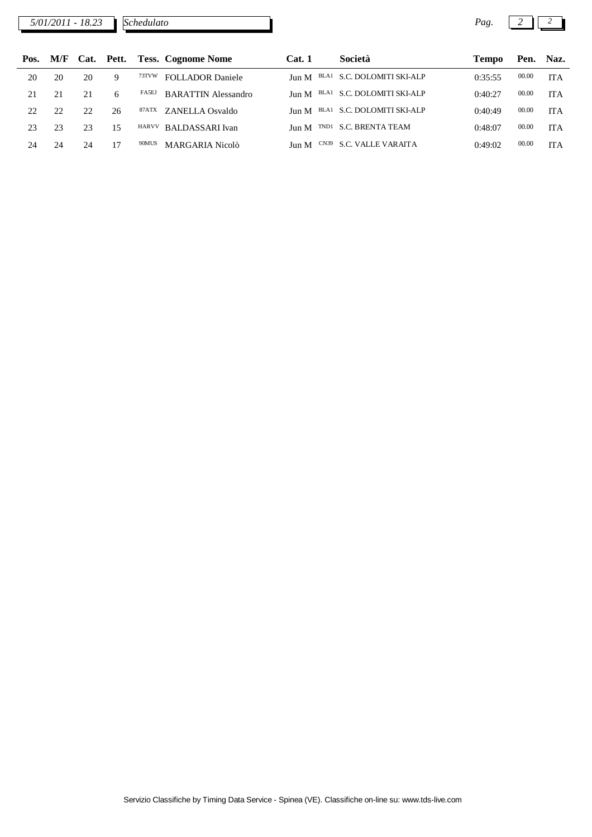*5/01/2011 - 18.23 Pag. 2 2*

| Pos. |    |    |    |       | M/F Cat. Pett. Tess. Cognome Nome | Cat. 1 | Società                          | <b>Tempo</b> |       | Pen. Naz.  |
|------|----|----|----|-------|-----------------------------------|--------|----------------------------------|--------------|-------|------------|
| 20   | 20 | 20 | Q  | 73TVW | <b>FOLLADOR Daniele</b>           |        | Jun M BLA1 S.C. DOLOMITI SKI-ALP | 0:35:55      | 00.00 | <b>ITA</b> |
| 21   | 21 |    |    | FA5EJ | <b>BARATTIN Alessandro</b>        |        | Jun M BLA1 S.C. DOLOMITI SKI-ALP | 0:40:27      | 00.00 | <b>ITA</b> |
| 22   | 22 | 22 | 26 | 87ATX | ZANELLA Osvaldo                   |        | Jun M BLA1 S.C. DOLOMITI SKI-ALP | 0:40:49      | 00.00 | <b>ITA</b> |
| 23   | 23 | 23 | 15 |       | HARVV BALDASSARI Ivan             | Jun M  | TND1 S.C. BRENTA TEAM            | 0:48:07      | 00.00 | <b>ITA</b> |
| 24   | 24 | 24 |    | 90MUS | MARGARIA Nicolò                   |        | Jun M CN39 S.C. VALLE VARAITA    | 0:49:02      | 00.00 | <b>ITA</b> |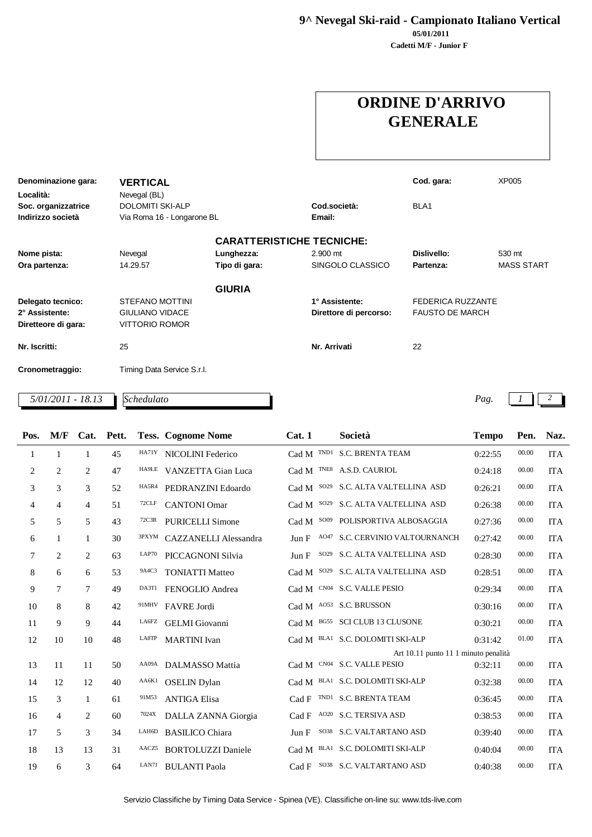**9^ Nevegal Ski-raid - Campionato Italiano Vertical**

**Cadetti M/F - Junior F 05/01/2011**

## **ORDINE D'ARRIVO GENERALE**

| Denominazione gara: | <b>VERTICAL</b>            |               |                                  | Cod. gara:             | <b>XP005</b>      |
|---------------------|----------------------------|---------------|----------------------------------|------------------------|-------------------|
|                     |                            |               |                                  |                        |                   |
| Località:           | Nevegal (BL)               |               |                                  |                        |                   |
| Soc. organizzatrice | <b>DOLOMITI SKI-ALP</b>    |               | Cod.società:                     | BLA <sub>1</sub>       |                   |
| Indirizzo società   | Via Roma 16 - Longarone BL |               | Email:                           |                        |                   |
|                     |                            |               | <b>CARATTERISTICHE TECNICHE:</b> |                        |                   |
| Nome pista:         | Nevegal                    | Lunghezza:    | 2.900 mt                         | Dislivello:            | 530 mt            |
| Ora partenza:       | 14.29.57                   | Tipo di gara: | SINGOLO CLASSICO                 | Partenza:              | <b>MASS START</b> |
|                     |                            | <b>GIURIA</b> |                                  |                        |                   |
| Delegato tecnico:   | <b>STEFANO MOTTINI</b>     |               | 1° Assistente:                   | FEDERICA RUZZANTE      |                   |
| 2° Assistente:      | <b>GIULIANO VIDACE</b>     |               | Direttore di percorso:           | <b>FAUSTO DE MARCH</b> |                   |
| Diretteore di gara: | <b>VITTORIO ROMOR</b>      |               |                                  |                        |                   |
| Nr. Iscritti:       | 25                         |               | Nr. Arrivati                     | 22                     |                   |
| Cronometraggio:     | Timing Data Service S.r.l. |               |                                  |                        |                   |
| $5/01/2011 - 18.13$ | Schedulato                 |               |                                  |                        | Pag.              |

| Pos. | M/F            | Cat.           | Pett. |       | <b>Tess. Cognome Nome</b>    | Cat.1                     | Società                              | <b>Tempo</b> | Pen.  | Naz.       |
|------|----------------|----------------|-------|-------|------------------------------|---------------------------|--------------------------------------|--------------|-------|------------|
| 1    | $\mathbf{1}$   | 1              | 45    | HA71Y | NICOLINI Federico            |                           | Cad M TND1 S.C. BRENTA TEAM          | 0:22:55      | 00.00 | <b>ITA</b> |
| 2    | $\overline{2}$ | $\overline{2}$ | 47    | HA9LE | VANZETTA Gian Luca           | TNE8<br>Cad M             | A.S.D. CAURIOL                       | 0:24:18      | 00.00 | <b>ITA</b> |
| 3    | 3              | 3              | 52    | HA5R4 | PEDRANZINI Edoardo           | SO29<br>Cad M             | S.C. ALTA VALTELLINA ASD             | 0:26:21      | 00.00 | <b>ITA</b> |
| 4    | $\overline{4}$ | $\overline{4}$ | 51    | 72CLF | <b>CANTONI</b> Omar          | SO29<br>Cad M             | S.C. ALTA VALTELLINA ASD             | 0:26:38      | 00.00 | <b>ITA</b> |
| 5    | 5              | 5              | 43    | 72C3R | <b>PURICELLI Simone</b>      | SO09<br>Cad M             | POLISPORTIVA ALBOSAGGIA              | 0:27:36      | 00.00 | <b>ITA</b> |
| 6    | $\mathbf{1}$   | $\mathbf{1}$   | 30    | 3PXYM | <b>CAZZANELLI Alessandra</b> | Jun F                     | A047 S.C. CERVINIO VALTOURNANCH      | 0:27:42      | 00.00 | <b>ITA</b> |
| 7    | $\overline{2}$ | $\overline{c}$ | 63    | LAP70 | PICCAGNONI Silvia            | SO29<br>Jun F             | S.C. ALTA VALTELLINA ASD             | 0:28:30      | 00.00 | <b>ITA</b> |
| 8    | 6              | 6              | 53    | 9A4C3 | <b>TONIATTI Matteo</b>       | SO <sub>29</sub><br>Cad M | S.C. ALTA VALTELLINA ASD             | 0:28:51      | 00.00 | <b>ITA</b> |
| 9    | 7              | 7              | 49    | DA3T1 | FENOGLIO Andrea              | Cad M                     | CN04 S.C. VALLE PESIO                | 0:29:34      | 00.00 | <b>ITA</b> |
| 10   | 8              | 8              | 42    | 91MHV | <b>FAVRE</b> Jordi           |                           | Cad M A053 S.C. BRUSSON              | 0:30:16      | 00.00 | <b>ITA</b> |
| 11   | 9              | 9              | 44    | LA6FZ | <b>GELMI</b> Giovanni        | Cad M                     | BG55 SCI CLUB 13 CLUSONE             | 0:30:21      | 00.00 | <b>ITA</b> |
| 12   | 10             | 10             | 48    | LA8TP | <b>MARTINI</b> Ivan          | Cad M                     | BLA1 S.C. DOLOMITI SKI-ALP           | 0:31:42      | 01.00 | <b>ITA</b> |
|      |                |                |       |       |                              |                           | Art 10.11 punto 11 1 minuto penalità |              |       |            |
| 13   | 11             | 11             | 50    | AA09A | DALMASSO Mattia              |                           | Cad M CN04 S.C. VALLE PESIO          | 0:32:11      | 00.00 | <b>ITA</b> |
| 14   | 12             | 12             | 40    | AA6K1 | <b>OSELIN</b> Dylan          | Cad M                     | BLA1 S.C. DOLOMITI SKI-ALP           | 0:32:38      | 00.00 | <b>ITA</b> |
| 15   | 3              | $\mathbf{1}$   | 61    | 91M53 | <b>ANTIGA Elisa</b>          | Cad F                     | TND1 S.C. BRENTA TEAM                | 0:36:45      | 00.00 | <b>ITA</b> |
| 16   | $\overline{4}$ | $\mathbf{2}$   | 60    | 7024X | DALLA ZANNA Giorgia          | Cad F                     | AO <sub>20</sub> S.C. TERSIVA ASD    | 0:38:53      | 00.00 | <b>ITA</b> |
| 17   | 5              | 3              | 34    | LAH6D | <b>BASILICO</b> Chiara       | Jun F                     | SO38 S.C. VALTARTANO ASD             | 0:39:40      | 00.00 | <b>ITA</b> |
| 18   | 13             | 13             | 31    | AACZ5 | <b>BORTOLUZZI</b> Daniele    | Cad M                     | BLA1 S.C. DOLOMITI SKI-ALP           | 0:40:04      | 00.00 | <b>ITA</b> |
| 19   | 6              | 3              | 64    | LAN7J | <b>BULANTI Paola</b>         | Cad F                     | SO38 S.C. VALTARTANO ASD             | 0:40:38      | 00.00 | <b>ITA</b> |